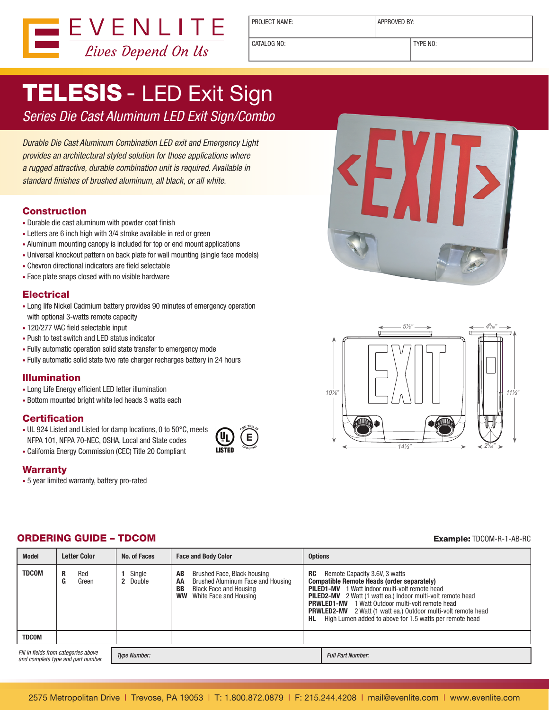

PROJECT NAME:  $\vert$  APPROVED BY:

CATALOG NO: TYPE NO:

# TELESIS - LED Exit Sign

Series Die Cast Aluminum LED Exit Sign/Combo

Durable Die Cast Aluminum Combination LED exit and Emergency Light provides an architectural styled solution for those applications where a rugged attractive, durable combination unit is required. Available in standard finishes of brushed aluminum, all black, or all white.

#### **Construction**

- Durable die cast aluminum with powder coat finish
- Letters are 6 inch high with 3/4 stroke available in red or green
- Aluminum mounting canopy is included for top or end mount applications
- Universal knockout pattern on back plate for wall mounting (single face models)
- Chevron directional indicators are field selectable
- Face plate snaps closed with no visible hardware

#### **Electrical**

- Long life Nickel Cadmium battery provides 90 minutes of emergency operation with optional 3-watts remote capacity
- 120/277 VAC field selectable input
- Push to test switch and LED status indicator
- Fully automatic operation solid state transfer to emergency mode
- Fully automatic solid state two rate charger recharges battery in 24 hours

# Illumination

- • Long Life Energy efficient LED letter illumination
- Bottom mounted bright white led heads 3 watts each

#### **Certification**

- UL 924 Listed and Listed for damp locations, 0 to 50°C, meets NFPA 101, NFPA 70-NEC, OSHA, Local and State codes
- • California Energy Commission (CEC) Title 20 Compliant

# **Warranty**

• 5 year limited warranty, battery pro-rated





# ORDERING GUIDE – TDCOM Example: TDCOM-R-1-AB-RC

| <b>Model</b>                                                               | <b>Letter Color</b>     | No. of Faces        | <b>Face and Body Color</b>                                                                                                                          | <b>Options</b>   |                                                                                                                                                                                                                                                                                                                                                                                                          |  |  |  |  |  |
|----------------------------------------------------------------------------|-------------------------|---------------------|-----------------------------------------------------------------------------------------------------------------------------------------------------|------------------|----------------------------------------------------------------------------------------------------------------------------------------------------------------------------------------------------------------------------------------------------------------------------------------------------------------------------------------------------------------------------------------------------------|--|--|--|--|--|
| <b>TDCOM</b>                                                               | Red<br>R.<br>G<br>Green | Single<br>2 Double  | Brushed Face, Black housing<br>AB<br>Brushed Aluminum Face and Housing<br>AA<br>BB<br><b>Black Face and Housing</b><br>White Face and Housing<br>ww | <b>RC</b><br>HL. | Remote Capacity 3.6V, 3 watts<br>Compatible Remote Heads (order separately)<br><b>PILED1-MV</b> 1 Watt Indoor multi-volt remote head<br><b>PILED2-MV</b> 2 Watt (1 watt ea.) Indoor multi-volt remote head<br><b>PRWLED1-MV</b> 1 Watt Outdoor multi-volt remote head<br><b>PRWLED2-MV</b> 2 Watt (1 watt ea.) Outdoor multi-volt remote head<br>High Lumen added to above for 1.5 watts per remote head |  |  |  |  |  |
| <b>TDCOM</b>                                                               |                         |                     |                                                                                                                                                     |                  |                                                                                                                                                                                                                                                                                                                                                                                                          |  |  |  |  |  |
| Fill in fields from categories above<br>and complete type and part number. |                         | <b>Type Number:</b> |                                                                                                                                                     |                  | <b>Full Part Number:</b>                                                                                                                                                                                                                                                                                                                                                                                 |  |  |  |  |  |

**E <sup>C</sup>E<sup>C</sup> <sup>T</sup>itl<sup>e</sup> <sup>2</sup><sup>0</sup>**

**<sup>C</sup>omplian<sup>t</sup>**